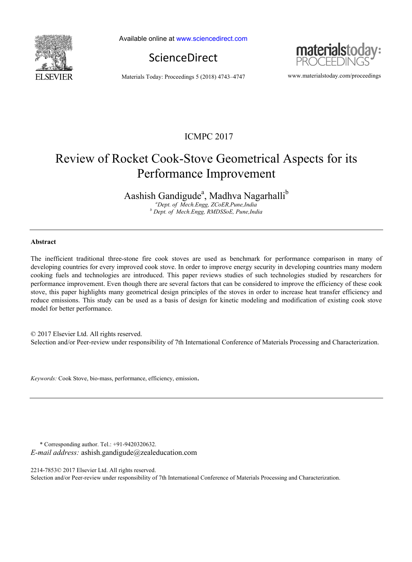

Available online at www.sciencedirect.com





Materials Today: Proceedings 5 (2018) 4743–4747 www.materialstoday.com/proceedings

### ICMPC 2017

# Review of Rocket Cook-Stove Geometrical Aspects for its Performance Improvement

Aashish Gandigude<sup>a</sup>, Madhva Nagarhalli<sup>b</sup>

*a Dept. of Mech.Engg, ZCoER,Pune,India b Dept. of Mech.Engg, RMDSSoE, Pune,India* 

#### **Abstract**

The inefficient traditional three-stone fire cook stoves are used as benchmark for performance comparison in many of developing countries for every improved cook stove. In order to improve energy security in developing countries many modern cooking fuels and technologies are introduced. This paper reviews studies of such technologies studied by researchers for performance improvement. Even though there are several factors that can be considered to improve the efficiency of these cook stove, this paper highlights many geometrical design principles of the stoves in order to increase heat transfer efficiency and reduce emissions. This study can be used as a basis of design for kinetic modeling and modification of existing cook stove model for better performance.

© 2017 Elsevier Ltd. All rights reserved. Selection and/or Peer-review under responsibility of 7th International Conference of Materials Processing and Characterization.

*Keywords:* Cook Stove, bio-mass, performance, efficiency, emission.

\* Corresponding author. Tel.: +91-9420320632. *E-mail address:* ashish.gandigude@zealeducation.com

2214-7853© 2017 Elsevier Ltd. All rights reserved. Selection and/or Peer-review under responsibility of 7th International Conference of Materials Processing and Characterization.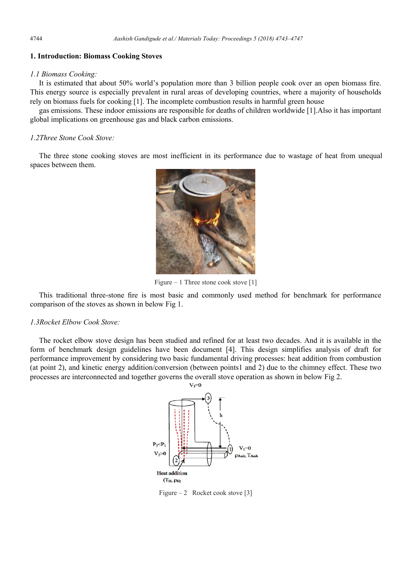### **1. Introduction: Biomass Cooking Stoves**

#### *1.1 Biomass Cooking:*

It is estimated that about 50% world's population more than 3 billion people cook over an open biomass fire. This energy source is especially prevalent in rural areas of developing countries, where a majority of households rely on biomass fuels for cooking [1]. The incomplete combustion results in harmful green house

gas emissions. These indoor emissions are responsible for deaths of children worldwide [1].Also it has important global implications on greenhouse gas and black carbon emissions.

#### *1.2Three Stone Cook Stove:*

The three stone cooking stoves are most inefficient in its performance due to wastage of heat from unequal spaces between them.



Figure – 1 Three stone cook stove [1]

This traditional three-stone fire is most basic and commonly used method for benchmark for performance comparison of the stoves as shown in below Fig 1.

#### *1.3Rocket Elbow Cook Stove:*

The rocket elbow stove design has been studied and refined for at least two decades. And it is available in the form of benchmark design guidelines have been document [4]. This design simplifies analysis of draft for performance improvement by considering two basic fundamental driving processes: heat addition from combustion (at point 2), and kinetic energy addition/conversion (between points1 and 2) due to the chimney effect. These two processes are interconnected and together governs the overall stove operation as shown in below Fig 2.



Figure – 2 Rocket cook stove [3]